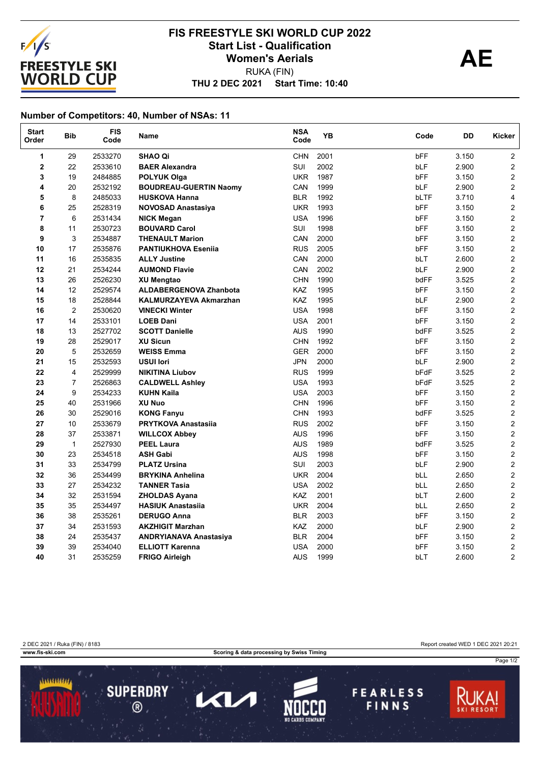

## **THU 2 DEC 2021 Start Time: 10:40 FIS FREESTYLE SKI WORLD CUP 2022** Start List - Qualification<br>
Women's Aerials **AE** RUKA (FIN) **Women's Aerials**

## **Number of Competitors: 40, Number of NSAs: 11**

| <b>Start</b><br>Order | <b>Bib</b>     | <b>FIS</b><br>Code | Name                          | <b>NSA</b><br>Code | YB   | Code       | DD    | Kicker                  |
|-----------------------|----------------|--------------------|-------------------------------|--------------------|------|------------|-------|-------------------------|
| $\mathbf{1}$          | 29             | 2533270            | <b>SHAO Qi</b>                | <b>CHN</b>         | 2001 | bFF        | 3.150 | $\overline{2}$          |
| $\mathbf 2$           | 22             | 2533610            | <b>BAER Alexandra</b>         | SUI                | 2002 | bLF        | 2.900 | $\overline{\mathbf{c}}$ |
| 3                     | 19             | 2484885            | <b>POLYUK Olga</b>            | <b>UKR</b>         | 1987 | <b>bFF</b> | 3.150 | $\overline{c}$          |
| 4                     | 20             | 2532192            | <b>BOUDREAU-GUERTIN Naomy</b> | CAN                | 1999 | bLF        | 2.900 | $\overline{c}$          |
| 5                     | 8              | 2485033            | <b>HUSKOVA Hanna</b>          | <b>BLR</b>         | 1992 | bLTF       | 3.710 | 4                       |
| 6                     | 25             | 2528319            | <b>NOVOSAD Anastasiya</b>     | <b>UKR</b>         | 1993 | bFF        | 3.150 | $\mathbf 2$             |
| $\overline{7}$        | 6              | 2531434            | <b>NICK Megan</b>             | <b>USA</b>         | 1996 | bFF        | 3.150 | $\overline{2}$          |
| 8                     | 11             | 2530723            | <b>BOUVARD Carol</b>          | <b>SUI</b>         | 1998 | <b>bFF</b> | 3.150 | $\overline{2}$          |
| 9                     | 3              | 2534887            | <b>THENAULT Marion</b>        | CAN                | 2000 | bFF        | 3.150 | $\overline{2}$          |
| 10                    | 17             | 2535876            | <b>PANTIUKHOVA Esenija</b>    | <b>RUS</b>         | 2005 | <b>bFF</b> | 3.150 | $\overline{2}$          |
| 11                    | 16             | 2535835            | <b>ALLY Justine</b>           | CAN                | 2000 | bLT        | 2.600 | $\mathbf 2$             |
| 12                    | 21             | 2534244            | <b>AUMOND Flavie</b>          | CAN                | 2002 | bLF        | 2.900 | $\mathbf 2$             |
| 13                    | 26             | 2526230            | <b>XU Mengtao</b>             | <b>CHN</b>         | 1990 | bdFF       | 3.525 | $\mathbf 2$             |
| 14                    | 12             | 2529574            | <b>ALDABERGENOVA Zhanbota</b> | KAZ                | 1995 | bFF        | 3.150 | $\mathbf 2$             |
| 15                    | 18             | 2528844            | <b>KALMURZAYEVA Akmarzhan</b> | KAZ                | 1995 | bLF        | 2.900 | $\mathbf 2$             |
| 16                    | $\overline{2}$ | 2530620            | <b>VINECKI Winter</b>         | <b>USA</b>         | 1998 | <b>bFF</b> | 3.150 | $\overline{2}$          |
| 17                    | 14             | 2533101            | <b>LOEB Dani</b>              | <b>USA</b>         | 2001 | bFF        | 3.150 | $\overline{2}$          |
| 18                    | 13             | 2527702            | <b>SCOTT Danielle</b>         | <b>AUS</b>         | 1990 | bdFF       | 3.525 | $\mathbf 2$             |
| 19                    | 28             | 2529017            | <b>XU Sicun</b>               | <b>CHN</b>         | 1992 | bFF        | 3.150 | $\overline{c}$          |
| 20                    | 5              | 2532659            | <b>WEISS Emma</b>             | <b>GER</b>         | 2000 | <b>bFF</b> | 3.150 | $\overline{2}$          |
| 21                    | 15             | 2532593            | <b>USUI lori</b>              | <b>JPN</b>         | 2000 | bLF        | 2.900 | $\overline{2}$          |
| 22                    | 4              | 2529999            | <b>NIKITINA Liubov</b>        | <b>RUS</b>         | 1999 | bFdF       | 3.525 | $\mathbf 2$             |
| 23                    | $\overline{7}$ | 2526863            | <b>CALDWELL Ashley</b>        | <b>USA</b>         | 1993 | bFdF       | 3.525 | $\overline{c}$          |
| 24                    | 9              | 2534233            | <b>KUHN Kaila</b>             | <b>USA</b>         | 2003 | bFF        | 3.150 | $\overline{2}$          |
| 25                    | 40             | 2531966            | <b>XU Nuo</b>                 | <b>CHN</b>         | 1996 | bFF        | 3.150 | 2                       |
| 26                    | 30             | 2529016            | <b>KONG Fanyu</b>             | <b>CHN</b>         | 1993 | bdFF       | 3.525 | $\overline{2}$          |
| 27                    | 10             | 2533679            | <b>PRYTKOVA Anastasiia</b>    | <b>RUS</b>         | 2002 | bFF        | 3.150 | $\overline{c}$          |
| 28                    | 37             | 2533871            | <b>WILLCOX Abbey</b>          | <b>AUS</b>         | 1996 | bFF        | 3.150 | $\overline{2}$          |
| 29                    | $\mathbf{1}$   | 2527930            | <b>PEEL Laura</b>             | <b>AUS</b>         | 1989 | bdFF       | 3.525 | $\overline{2}$          |
| 30                    | 23             | 2534518            | <b>ASH Gabi</b>               | <b>AUS</b>         | 1998 | bFF        | 3.150 | $\mathbf 2$             |
| 31                    | 33             | 2534799            | <b>PLATZ Ursina</b>           | SUI                | 2003 | bLF        | 2.900 | $\mathbf 2$             |
| 32                    | 36             | 2534499            | <b>BRYKINA Anhelina</b>       | <b>UKR</b>         | 2004 | bLL        | 2.650 | $\overline{c}$          |
| 33                    | 27             | 2534232            | <b>TANNER Tasia</b>           | <b>USA</b>         | 2002 | bLL        | 2.650 | $\overline{2}$          |
| 34                    | 32             | 2531594            | <b>ZHOLDAS Ayana</b>          | <b>KAZ</b>         | 2001 | bLT        | 2.600 | $\overline{2}$          |
| 35                    | 35             | 2534497            | <b>HASIUK Anastasiia</b>      | <b>UKR</b>         | 2004 | bLL        | 2.650 | $\overline{\mathbf{c}}$ |
| 36                    | 38             | 2535261            | <b>DERUGO Anna</b>            | <b>BLR</b>         | 2003 | <b>bFF</b> | 3.150 | $\overline{c}$          |
| 37                    | 34             | 2531593            | <b>AKZHIGIT Marzhan</b>       | KAZ                | 2000 | bLF        | 2.900 | $\overline{2}$          |
| 38                    | 24             | 2535437            | <b>ANDRYIANAVA Anastasiya</b> | <b>BLR</b>         | 2004 | bFF        | 3.150 | $\overline{2}$          |
| 39                    | 39             | 2534040            | <b>ELLIOTT Karenna</b>        | <b>USA</b>         | 2000 | bFF        | 3.150 | $\overline{\mathbf{c}}$ |
| 40                    | 31             | 2535259            | <b>FRIGO Airleigh</b>         | <b>AUS</b>         | 1999 | bLT        | 2.600 | $\overline{c}$          |

2 DEC 2021 / Ruka (FIN) / 8183 Report created WED 1 DEC 2021 20:21